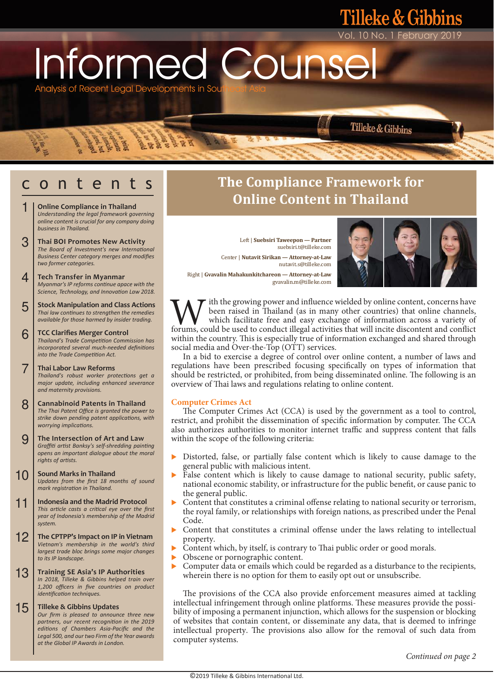Informed Counse

Analysis of Recent Legal Developments in Sou

**BERBS** 

 $5.58$ 

- **Online Compliance in Thailand** *Understanding the legal framework governing online content is crucial for any company doing business in Thailand.* 1
- **Thai BOI Promotes New Activity** *The Board of Investment's new International Business Center category merges and modifies two former categories.*  3
- **Tech Transfer in Myanmar** *Myanmar's IP reforms conƟnue apace with the Science, Technology, and InnovaƟon Law 2018.* 4
- **Stock Manipulation and Class Actions** *Thai law continues to strengthen the remedies available for those harmed by insider trading.* 5
- **TCC Clarifies Merger Control** *Thailand's Trade CompeƟƟon Commission has incorporated several much-needed definitions into the Trade Competition Act.* 6
- **Thai Labor Law Reforms** *Thailand's robust worker protections get a major update, including enhanced severance and maternity provisions.*  7
- **Cannabinoid Patents in Thailand** *The Thai Patent Office is granted the power to strike down pending patent applicaƟons, with worrying implicaƟons.* 8
- **The Intersection of Art and Law** *GraffiƟ arƟst Banksy's self-shredding painƟng opens an important dialogue about the moral rights of arƟsts.* 9
- **Sound Marks in Thailand** *Updates from the first 18 months of sound mark registraƟon in Thailand.*  10
- **Indonesia and the Madrid Protocol** *This arƟcle casts a criƟcal eye over the first year of Indonesia's membership of the Madrid system.* 11
- **The CPTPP's Impact on IP in Vietnam** *Vietnam's membership in the world's third largest trade bloc brings some major changes to its IP landscape.* 12
- **Training SE Asia's IP Authorities** *In 2018, Tilleke & Gibbins helped train over 1,200 officers in five countries on product*   $i$ *dentification techniques.* 13

#### **Tilleke & Gibbins Updates** *Our firm is pleased to announce three new*  15

*partners, our recent recogniƟon in the 2019 ediƟons of Chambers Asia-Pacific and the Legal 500, and our two Firm of the Year awards at the Global IP Awards in London.* 

# c o n t e n t s **The Compliance Framework for Online Content in Thailand**

Left | **Suebsiri Taweepon — Partner** suebsiri.t@tilleke.com Center | **Nutavit Sirikan — Attorney-at-Law** nutavit.s@tilleke.com



10 No. 1 February 2019

Tilleke & Gibbins

leke & Gibbins

Right | **Gvavalin Mahakunkitchareon — Attorney-at-Law**  gvavalin.m@tilleke.com

ith the growing power and influence wielded by online content, concerns have been raised in Thailand (as in many other countries) that online channels, which facilitate free and easy exchange of information across a variety of **forums**, conduct illegal activities that will incite discontent, concerns have which facilitate free and easy exchange of information across a variety of forums, could be used to conduct illegal activities that will incit within the country. This is especially true of information exchanged and shared through social media and Over-the-Top (OTT) services.

 In a bid to exercise a degree of control over online content, a number of laws and regulations have been prescribed focusing specifically on types of information that should be restricted, or prohibited, from being disseminated online. The following is an overview of Thai laws and regulations relating to online content.

#### **Computer Crimes Act**

 The Computer Crimes Act (CCA) is used by the government as a tool to control, restrict, and prohibit the dissemination of specific information by computer. The CCA also authorizes authorities to monitor internet traffic and suppress content that falls within the scope of the following criteria:

- Distorted, false, or partially false content which is likely to cause damage to the general public with malicious intent.
- False content which is likely to cause damage to national security, public safety, national economic stability, or infrastructure for the public benefit, or cause panic to the general public.
- Content that constitutes a criminal offense relating to national security or terrorism, the royal family, or relationships with foreign nations, as prescribed under the Penal Code.
- Content that constitutes a criminal offense under the laws relating to intellectual property.
- Content which, by itself, is contrary to Thai public order or good morals.
- Obscene or pornographic content.
- Computer data or emails which could be regarded as a disturbance to the recipients, wherein there is no option for them to easily opt out or unsubscribe.

 The provisions of the CCA also provide enforcement measures aimed at tackling intellectual infringement through online platforms. These measures provide the possibility of imposing a permanent injunction, which allows for the suspension or blocking of websites that contain content, or disseminate any data, that is deemed to infringe intellectual property. The provisions also allow for the removal of such data from computer systems.